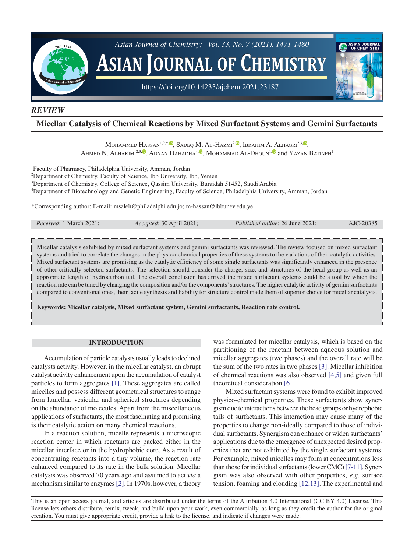

### *REVIEW*

# **Micellar Catalysis of Chemical Reactions by Mixed Surfactant Systems and Gemini Surfactants**

MOHAMMED HASSAN<sup>1[,](https://orcid.org/0000-0003-2531-9360)2,\*,</sup> , SADEQ M. AL-HAZMI<sup>2, (0</sup>, IBRAHIM A. ALHAGRI<sup>2,3, (0</sup>, AHMED N. ALHAKIMI<sup>2[,](https://orcid.org/0000-0002-4160-0622)3, (D</sup>, ADNAN DAHADHA<sup>4, (D</sup>, MOHAMMAD AL-DHOUN<sup>[1,](https://orcid.org/0000-0003-1768-0738) (D</sup> and YAZAN BATINEH<sup>1</sup>

1 Faculty of Pharmacy, Philadelphia University, Amman, Jordan

2 Department of Chemistry, Faculty of Science, Ibb University, Ibb, Yemen

3 Department of Chemistry, College of Science, Qassim University, Buraidah 51452, Saudi Arabia

4 Department of Biotechnology and Genetic Engineering, Faculty of Science, Philadelphia University, Amman, Jordan

\*Corresponding author: E-mail: msaleh@philadelphi.edu.jo; m-hassan@ibbunev.edu.ye

| <i>Received</i> : 1 March 2021: | Accepted: 30 April 2021; | <i>Published online: 26 June 2021;</i> | AJC-20385 |
|---------------------------------|--------------------------|----------------------------------------|-----------|
|                                 |                          |                                        |           |

Micellar catalysis exhibited by mixed surfactant systems and gemini surfactants was reviewed. The review focused on mixed surfactant systems and tried to correlate the changes in the physico-chemical properties of these systems to the variations of their catalytic activities. Mixed surfactant systems are promising as the catalytic efficiency of some single surfactants was significantly enhanced in the presence of other critically selected surfactants. The selection should consider the charge, size, and structures of the head group as well as an appropriate length of hydrocarbon tail. The overall conclusion has arrived the mixed surfactant systems could be a tool by which the reaction rate can be tuned by changing the composition and/or the components' structures. The higher catalytic activity of gemini surfactants compared to conventional ones, their facile synthesis and liability for structure control made them of superior choice for micellar catalysis.

**Keywords: Micellar catalysis, Mixed surfactant system, Gemini surfactants, Reaction rate control.**

### **INTRODUCTION**

Accumulation of particle catalysts usually leads to declined catalysts activity. However, in the micellar catalyst, an abrupt catalyst activity enhancement upon the accumulation of catalyst particles to form aggregates [\[1\].](#page-8-0) These aggregates are called micelles and possess different geometrical structures to range from lamellar, vesicular and spherical structures depending on the abundance of molecules. Apart from the miscellaneous applications of surfactants, the most fascinating and promising is their catalytic action on many chemical reactions.

In a reaction solution, micelle represents a microscopic reaction center in which reactants are packed either in the micellar interface or in the hydrophobic core. As a result of concentrating reactants into a tiny volume, the reaction rate enhanced compared to its rate in the bulk solution. Micellar catalysis was observed 70 years ago and assumed to act *via* a mechanism similar to enzymes [\[2\].](#page-8-0) In 1970s, however, a theory

was formulated for micellar catalysis, which is based on the partitioning of the reactant between aqueous solution and micellar aggregates (two phases) and the overall rate will be the sum of the two rates in two phases [\[3\]](#page-8-0). Micellar inhibition of chemical reactions was also observed [\[4,5\]](#page-8-0) and given full theoretical consideration [\[6\]](#page-8-0).

Mixed surfactant systems were found to exhibit improved physico-chemical properties. These surfactants show synergism due to interactions between the head groups or hydrophobic tails of surfactants. This interaction may cause many of the properties to change non-ideally compared to those of individual surfactants. Synergism can enhance or widen surfactants' applications due to the emergence of unexpected desired properties that are not exhibited by the single surfactant systems. For example, mixed micelles may form at concentrations less than those for individual surfactants (lower CMC) [\[7-11\].](#page-8-0) Synergism was also observed with other properties, *e.g.* surface tension, foaming and clouding [\[12,13\]](#page-8-0). The experimental and

This is an open access journal, and articles are distributed under the terms of the Attribution 4.0 International (CC BY 4.0) License. This license lets others distribute, remix, tweak, and build upon your work, even commercially, as long as they credit the author for the original creation. You must give appropriate credit, provide a link to the license, and indicate if changes were made.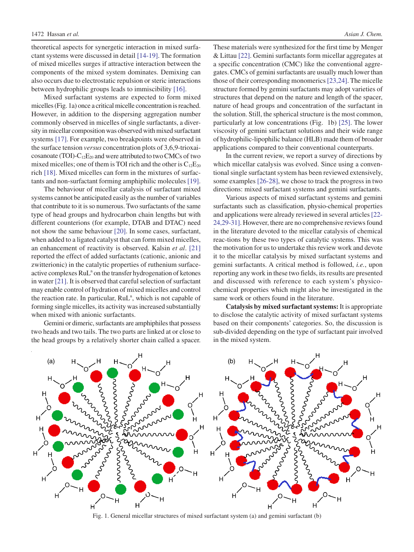theoretical aspects for synergetic interaction in mixed surfactant systems were discussed in detail [\[14-19\].](#page-8-0) The formation of mixed micelles surges if attractive interaction between the components of the mixed system dominates. Demixing can also occurs due to electrostatic repulsion or steric interactions between hydrophilic groups leads to immiscibility [\[16\].](#page-8-0)

Mixed surfactant systems are expected to form mixed micelles (Fig. 1a) once a critical micelle concentration is reached. However, in addition to the dispersing aggregation number commonly observed in micelles of single surfactants, a diversity in micellar composition was observed with mixed surfactant systems [\[17\].](#page-8-0) For example, two breakpoints were observed in the surface tension *versus* concentration plots of 3,6,9-trioxaicosanoate (TOI)- $C_{12}E_{20}$  and were attributed to two CMCs of two mixed micelles; one of them is TOI rich and the other is  $C_{12}E_{20}$ rich [\[18\].](#page-8-0) Mixed micelles can form in the mixtures of surfactants and non-surfactant forming amphiphilic molecules [\[19\].](#page-8-0)

The behaviour of micellar catalysis of surfactant mixed systems cannot be anticipated easily as the number of variables that contribute to it is so numerous. Two surfactants of the same type of head groups and hydrocarbon chain lengths but with different counterions (for example, DTAB and DTAC) need not show the same behaviour [\[20\]](#page-8-0). In some cases, surfactant, when added to a ligated catalyst that can form mixed micelles, an enhancement of reactivity is observed. Kalsin *et al*. [\[21\]](#page-8-0) reported the effect of added surfactants (cationic, anionic and zwitterionic) in the catalytic properties of ruthenium surfaceactive complexes RuL<sup>n</sup> on the transfer hydrogenation of ketones in water [\[21\].](#page-8-0) It is observed that careful selection of surfactant may enable control of hydration of mixed micelles and control the reaction rate. In particular, RuL<sup>n</sup>, which is not capable of forming single micelles, its activity was increased substantially when mixed with anionic surfactants.

Gemini or dimeric, surfactants are amphiphiles that possess two heads and two tails. The two parts are linked at or close to the head groups by a relatively shorter chain called a spacer.

These materials were synthesized for the first time by Menger & Littau [\[22\].](#page-8-0) Gemini surfactants form micellar aggregates at a specific concentration (CMC) like the conventional aggregates. CMCs of gemini surfactants are usually much lower than those of their corresponding monomerics [\[23,24\]](#page-8-0). The micelle structure formed by gemini surfactants may adopt varieties of structures that depend on the nature and length of the spacer, nature of head groups and concentration of the surfactant in the solution. Still, the spherical structure is the most common, particularly at low concentrations (Fig. 1b) [\[25\].](#page-8-0) The lower viscosity of gemini surfactant solutions and their wide range of hydrophilic-lipophilic balance (HLB) made them of broader applications compared to their conventional counterparts.

In the current review, we report a survey of directions by which micellar catalysis was evolved. Since using a conventional single surfactant system has been reviewed extensively, some examples [\[26-28\],](#page-8-0) we chose to track the progress in two directions: mixed surfactant systems and gemini surfactants.

Various aspects of mixed surfactant systems and gemini surfactants such as classification, physio-chemical properties and applications were already reviewed in several articles [\[22-](#page-8-0) [24,29-31\]](#page-8-0). However, there are no comprehensive reviews found in the literature devoted to the micellar catalysis of chemical reac-tions by these two types of catalytic systems. This was the motivation for us to undertake this review work and devote it to the micellar catalysis by mixed surfactant systems and gemini surfactants. A critical method is followed, *i.e.*, upon reporting any work in these two fields, its results are presented and discussed with reference to each system's physicochemical properties which might also be investigated in the same work or others found in the literature.

**Catalysis by mixed surfactant systems:** It is appropriate to disclose the catalytic activity of mixed surfactant systems based on their components' categories. So, the discussion is sub-divided depending on the type of surfactant pair involved in the mixed system.



Fig. 1. General micellar structures of mixed surfactant system (a) and gemini surfactant (b)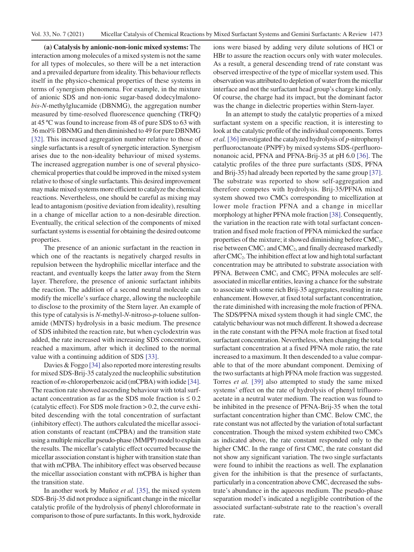**(a) Catalysis by anionic-non-ionic mixed systems:** The interaction among molecules of a mixed system is not the same for all types of molecules, so there will be a net interaction and a prevailed departure from ideality. This behaviour reflects itself in the physico-chemical properties of these systems in terms of synergism phenomena. For example, in the mixture of anionic SDS and non-ionic sugar-based dodecylmalono*bis*-*N*-methylglucamide (DBNMG), the aggregation number measured by time-resolved fluorescence quenching (TRFQ) at 45 ºC was found to increase from 48 of pure SDS to 63 with 36 mol% DBNMG and then diminished to 49 for pure DBNMG [\[32\].](#page-8-0) This increased aggregation number relative to those of single surfactants is a result of synergetic interaction. Synergism arises due to the non-ideality behaviour of mixed systems. The increased aggregation number is one of several physicochemical properties that could be improved in the mixed system relative to those of single surfactants. This desired improvement may make mixed systems more efficient to catalyze the chemical reactions. Nevertheless, one should be careful as mixing may lead to antagonism (positive deviation from ideality), resulting in a change of micellar action to a non-desirable direction. Eventually, the critical selection of the components of mixed surfactant systems is essential for obtaining the desired outcome properties.

The presence of an anionic surfactant in the reaction in which one of the reactants is negatively charged results in repulsion between the hydrophilic micellar interface and the reactant, and eventually keeps the latter away from the Stern layer. Therefore, the presence of anionic surfactant inhibits the reaction. The addition of a second neutral molecule can modify the micelle's surface charge, allowing the nucleophile to disclose to the proximity of the Stern layer. An example of this type of catalysis is *N*-methyl-*N*-nitroso-*p*-toluene sulfonamide (MNTS) hydrolysis in a basic medium. The presence of SDS inhibited the reaction rate, but when cyclodextrin was added, the rate increased with increasing SDS concentration, reached a maximum, after which it declined to the normal value with a continuing addition of SDS [\[33\].](#page-8-0)

Davies & Foggo [\[34\]](#page-8-0) also reported more interesting results for mixed SDS-Brij-35 catalyzed the nucleophilic substitution reaction of *m*-chloroperbenzoic acid (mCPBA) with iodide [\[34\].](#page-8-0) The reaction rate showed ascending behaviour with total surfactant concentration as far as the SDS mole fraction is  $\leq 0.2$ (catalytic effect). For SDS mole fraction > 0.2, the curve exhibited descending with the total concentration of surfactant (inhibitory effect). The authors calculated the micellar association constants of reactant (mCPBA) and the transition state using a multiple micellar pseudo-phase (MMPP) model to explain the results. The micellar's catalytic effect occurred because the micellar association constant is higher with transition state than that with mCPBA. The inhibitory effect was observed because the micellar association constant with mCPBA is higher than the transition state.

In another work by Muñoz *et al.* [\[35\]](#page-8-0), the mixed system SDS-Brij-35 did not produce a significant change in the micellar catalytic profile of the hydrolysis of phenyl chloroformate in comparison to those of pure surfactants. In this work, hydroxide ions were biased by adding very dilute solutions of HCl or HBr to assure the reaction occurs only with water molecules. As a result, a general descending trend of rate constant was observed irrespective of the type of micellar system used. This observation was attributed to depletion of water from the micellar interface and not the surfactant head group's charge kind only. Of course, the charge had its impact, but the dominant factor was the change in dielectric properties within Stern-layer.

In an attempt to study the catalytic properties of a mixed surfactant system on a specific reaction, it is interesting to look at the catalytic profile of the individual components. Torres *et al.* [\[36\]](#page-8-0) investigated the catalyzed hydrolysis of *p*-nitrophenyl perfluoroctanoate (PNPF) by mixed systems SDS-(perfluorononanoic acid, PFNA and PFNA-Brij-35 at pH 6.0 [\[36\]](#page-8-0). The catalytic profiles of the three pure surfactants (SDS, PFNA and Brij-35) had already been reported by the same group [\[37\].](#page-8-0) The substrate was reported to show self-aggregation and therefore competes with hydrolysis. Brij-35/PFNA mixed system showed two CMCs corresponding to micellization at lower mole fraction PFNA and a change in micellar morphology at higher PFNA mole fraction [\[38\].](#page-8-0) Consequently, the variation in the reaction rate with total surfactant concentration and fixed mole fraction of PFNA mimicked the surface properties of the mixture; it showed diminishing before  $CMC<sub>1</sub>$ , rise between  $CMC_1$  and  $CMC_2$ , and finally decreased markedly after  $CMC<sub>2</sub>$ . The inhibition effect at low and high total surfactant concentration may be attributed to substrate association with  $PFNA$ . Between  $CMC<sub>1</sub>$  and  $CMC<sub>2</sub>$  PFNA molecules are selfassociated in micellar entities, leaving a chance for the substrate to associate with some rich Brij-35 aggregates, resulting in rate enhancement. However, at fixed total surfactant concentration, the rate diminished with increasing the mole fraction of PFNA. The SDS/PFNA mixed system though it had single CMC, the catalytic behaviour was not much different. It showed a decrease in the rate constant with the PFNA mole fraction at fixed total surfactant concentration. Nevertheless, when changing the total surfactant concentration at a fixed PFNA mole ratio, the rate increased to a maximum. It then descended to a value comparable to that of the more abundant component. Demixing of the two surfactants at high PFNA mole fraction was suggested. Torres *et al.* [\[39\]](#page-8-0) also attempted to study the same mixed systems' effect on the rate of hydrolysis of phenyl trifluoroacetate in a neutral water medium. The reaction was found to be inhibited in the presence of PFNA-Brij-35 when the total surfactant concentration higher than CMC. Below CMC, the rate constant was not affected by the variation of total surfactant concentration. Though the mixed system exhibited two CMCs as indicated above, the rate constant responded only to the higher CMC. In the range of first CMC, the rate constant did not show any significant variation. The two single surfactants were found to inhibit the reactions as well. The explanation given for the inhibition is that the presence of surfactants, particularly in a concentration above CMC, decreased the substrate's abundance in the aqueous medium. The pseudo-phase separation model's indicated a negligible contribution of the associated surfactant-substrate rate to the reaction's overall rate.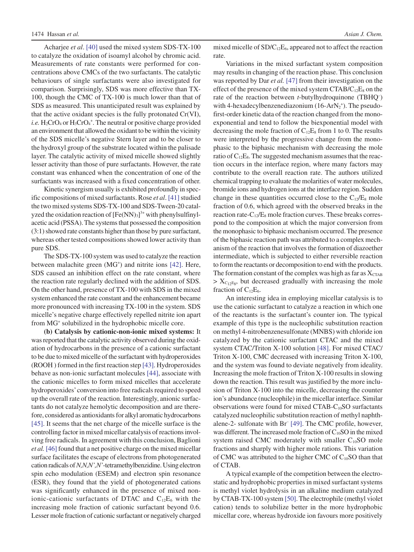Acharjee *et al*. [\[40\]](#page-8-0) used the mixed system SDS-TX-100 to catalyze the oxidation of isoamyl alcohol by chromic acid. Measurements of rate constants were performed for concentrations above CMCs of the two surfactants. The catalytic behaviours of single surfactants were also investigated for comparison. Surprisingly, SDS was more effective than TX-100, though the CMC of TX-100 is much lower than that of SDS as measured. This unanticipated result was explained by that the active oxidant species is the fully protonated Cr(VI), i.e.  $H_2CrO_4$  or  $H_3CrO_4^+$ . The neutral or positive charge provided an environment that allowed the oxidant to be within the vicinity of the SDS micelle's negative Stern layer and to be closer to the hydroxyl group of the substrate located within the palisade layer. The catalytic activity of mixed micelle showed slightly lesser activity than those of pure surfactants. However, the rate constant was enhanced when the concentration of one of the surfactants was increased with a fixed concentration of other.

Kinetic synergism usually is exhibited profoundly in specific compositions of mixed surfactants. Rose *et al*. [\[41\]](#page-8-0) studied the two mixed systems SDS-TX-100 and SDS-Tween-20 catalyzed the oxidation reaction of  $[Fe(NN)_3]^{3+}$  with phenylsulfinylacetic acid (PSSA). The systems that possessed the composition (3:1) showed rate constants higher than those by pure surfactant, whereas other tested compositions showed lower activity than pure SDS.

The SDS-TX-100 system was used to catalyze the reaction between malachite green (MG<sup>+</sup>) and nitrite ions [\[42\].](#page-8-0) Here, SDS caused an inhibition effect on the rate constant, where the reaction rate regularly declined with the addition of SDS. On the other hand, presence of TX-100 with SDS in the mixed system enhanced the rate constant and the enhancement became more pronounced with increasing TX-100 in the system. SDS micelle's negative charge effectively repelled nitrite ion apart from MG<sup>+</sup> solubilized in the hydrophobic micelle core.

**(b) Catalysis by cationic-non-ionic mixed systems:** It was reported that the catalytic activity observed during the oxidation of hydrocarbons in the presence of a cationic surfactant to be due to mixed micelle of the surfactant with hydroperoxides (ROOH ) formed in the first reaction step [\[43\].](#page-8-0) Hydroperoxides behave as non-ionic surfactant molecules [\[44\],](#page-8-0) associate with the cationic micelles to form mixed micelles that accelerate hydroperoxides' conversion into free radicals required to speed up the overall rate of the reaction. Interestingly, anionic surfactants do not catalyze hemolytic decomposition and are therefore, considered as antioxidants for alkyl aromatic hydrocarbons [\[45\].](#page-8-0) It seems that the net charge of the micelle surface is the controlling factor in mixed micellar catalysis of reactions involving free radicals. In agreement with this conclusion, Baglioni *et al.* [\[46\]](#page-8-0) found that a net positive charge on the mixed micellar surface facilitates the escape of electrons from photogenerated cation radicals of *N,N,N',N'*-tetramethylbenzidine. Using electron spin echo modulation (ESEM) and electron spin resonance (ESR), they found that the yield of photogenerated cations was significantly enhanced in the presence of mixed nonionic-cationic surfactants of DTAC and  $C_{12}E_6$  with the increasing mole fraction of cationic surfactant beyond 0.6. Lesser mole fraction of cationic surfactant or negatively charged

mixed micelle of  $SD/C_{12}E_6$ , appeared not to affect the reaction rate.

Variations in the mixed surfactant system composition may results in changing of the reaction phase. This conclusion was reported by Dar *et al.* [\[47\]](#page-8-0) from their investigation on the effect of the presence of the mixed system  $CTAB/C_{12}E_8$  on the rate of the reaction between *t*-butylhydroquinone (TBHQ– ) with 4-hexadecylbenzenediazonium  $(16-ArN<sub>2</sub><sup>+</sup>)$ . The pseudofirst-order kinetic data of the reaction changed from the monoexponential and tend to follow the biexponential model with decreasing the mole fraction of  $C_{12}E_8$  from 1 to 0. The results were interpreted by the progressive change from the monophasic to the biphasic mechanism with decreasing the mole ratio of  $C_{12}E_8$ . The suggested mechanism assumes that the reaction occurs in the interface region, where many factors may contribute to the overall reaction rate. The authors utilized chemical trapping to evaluate the molarities of water molecules, bromide ions and hydrogen ions at the interface region. Sudden change in these quantities occurred close to the  $C_{12}/E_8$  mole fraction of 0.6, which agreed with the observed breaks in the reaction rate- $C_{12}/E_8$  mole fraction curves. These breaks correspond to the composition at which the major conversion from the monophasic to biphasic mechanism occurred. The presence of the biphasic reaction path was attributed to a complex mechanism of the reaction that involves the formation of diazoether intermediate, which is subjected to either reversible reaction to form the reactants or decomposition to end with the products. The formation constant of the complex was high as far as  $X_{CTAB}$  $> X_{C_12E_8}$ , but decreased gradually with increasing the mole fraction of  $C_{12}E_6$ .

An interesting idea in employing micellar catalysis is to use the cationic surfactant to catalyze a reaction in which one of the reactants is the surfactant's counter ion. The typical example of this type is the nucleophilic substitution reaction on methyl 4-nitrobenzenesulfonate (MNBS) with chloride ion catalyzed by the cationic surfactant CTAC and the mixed system CTAC/Triton X-100 solution [\[48\].](#page-8-0) For mixed CTAC/ Triton X-100, CMC decreased with increasing Triton X-100, and the system was found to deviate negatively from ideality. Increasing the mole fraction of Triton X-100 results in slowing down the reaction. This result was justified by the more inclusion of Triton X-100 into the micelle, decreasing the counter ion's abundance (nucleophile) in the micellar interface. Similar observations were found for mixed  $CTAB-C_{10}SO$  surfactants catalyzed nucleophilic substitution reaction of methyl naphthalene-2- sulfonate with Br– [\[49\].](#page-8-0) The CMC profile, however, was different. The increased mole fraction of  $C_{10}SO$  in the mixed system raised CMC moderately with smaller  $C_{10}SO$  mole fractions and sharply with higher mole rations. This variation of CMC was attributed to the higher CMC of  $C_{10}SO$  than that of CTAB.

A typical example of the competition between the electrostatic and hydrophobic properties in mixed surfactant systems is methyl violet hydrolysis in an alkaline medium catalyzed by CTAB-TX-100 system [\[50\]](#page-8-0). The electrophile (methyl violet cation) tends to solubilize better in the more hydrophobic micellar core, whereas hydroxide ion favours more positively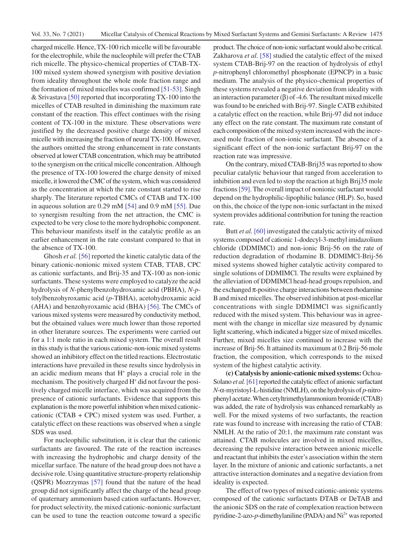charged micelle. Hence, TX-100 rich micelle will be favourable for the electrophile, while the nucleophile will prefer the CTAB rich micelle. The physico-chemical properties of CTAB-TX-100 mixed system showed synergism with positive deviation from ideality throughout the whole mole fraction range and the formation of mixed micelles was confirmed [\[51-53\].](#page-8-0) Singh & Srivastava [\[50\]](#page-8-0) reported that incorporating TX-100 into the micelles of CTAB resulted in diminishing the maximum rate constant of the reaction. This effect continues with the rising content of TX-100 in the mixture. These observations were justified by the decreased positive charge density of mixed micelle with increasing the fraction of neural TX-100. However, the authors omitted the strong enhancement in rate constants observed at lower CTAB concentration, which may be attributed to the synergism on the critical micelle concentration. Although the presence of TX-100 lowered the charge density of mixed micelle, it lowered the CMC of the system, which was considered as the concentration at which the rate constant started to rise sharply. The literature reported CMCs of CTAB and TX-100 in aqueous solution are 0.29 mM [\[54\]](#page-8-0) and 0.9 mM [\[55\].](#page-8-0) Due to synergism resulting from the net attraction, the CMC is expected to be very close to the more hydrophobic component. This behaviour manifests itself in the catalytic profile as an earlier enhancement in the rate constant compared to that in the absence of TX-100.

Ghosh *et al.* [\[56\]](#page-8-0) reported the kinetic catalytic data of the binary cationic-nonionic mixed system CTAB, TTAB, CPC as cationic surfactants, and Brij-35 and TX-100 as non-ionic surfactants. These systems were employed to catalyze the acid hydrolysis of *N*-phenylbenzohydroxamic acid (PBHA), *N*-*p*tolylbenzohyroxamic acid (*p*-TBHA), acetohydroxamic acid (AHA) and benzohyroxamic acid (BHA) [\[56\]](#page-8-0). The CMCs of various mixed systems were measured by conductivity method, but the obtained values were much lower than those reported in other literature sources. The experiments were carried out for a 1:1 mole ratio in each mixed system. The overall result in this study is that the various cationic-non-ionic mixed systems showed an inhibitory effect on the titled reactions. Electrostatic interactions have prevailed in these results since hydrolysis in an acidic medium means that  $H^+$  plays a crucial role in the mechanism. The positively charged H<sup>+</sup> did not favour the positively charged micelle interface, which was acquired from the presence of cationic surfactants. Evidence that supports this explanation is the more powerful inhibition when mixed cationiccationic (CTAB + CPC) mixed system was used. Further, a catalytic effect on these reactions was observed when a single SDS was used.

For nucleophilic substitution, it is clear that the cationic surfactants are favoured. The rate of the reaction increases with increasing the hydrophobic and charge density of the micellar surface. The nature of the head group does not have a decisive role. Using quantitative structure-property relationship (QSPR) Mozrzymas [\[57\]](#page-8-0) found that the nature of the head group did not significantly affect the charge of the head group of quaternary ammonium based cation surfactants. However, for product selectivity, the mixed cationic-nonionic surfactant can be used to tune the reaction outcome toward a specific

product. The choice of non-ionic surfactant would also be critical. Zakharova *et al.* [\[58\]](#page-8-0) studied the catalytic effect of the mixed system CTAB-Brij-97 on the reaction of hydrolysis of ethyl *p*-nitrophenyl chloromethyl phosphonate (EPNCP) in a basic medium. The analysis of the physico-chemical properties of these systems revealed a negative deviation from ideality with an interaction parameter (β) of -4.6. The resultant mixed micelle was found to be enriched with Brij-97. Single CATB exhibited a catalytic effect on the reaction, while Brij-97 did not induce any effect on the rate constant. The maximum rate constant of each composition of the mixed system increased with the increased mole fraction of non-ionic surfactant. The absence of a significant effect of the non-ionic surfactant Brij-97 on the reaction rate was impressive.

On the contrary, mixed CTAB-Brij35 was reported to show peculiar catalytic behaviour that ranged from acceleration to inhibition and even led to stop the reaction at high Brij35 mole fractions [\[59\].](#page-8-0) The overall impact of nonionic surfactant would depend on the hydrophilic-lipophilic balance (HLP). So, based on this, the choice of the type non-ionic surfactant in the mixed system provides additional contribution for tuning the reaction rate.

Butt *et al.* [\[60\]](#page-8-0) investigated the catalytic activity of mixed systems composed of cationic 1-dodecyl-3-methyl imidazolium chloride (DDMIMCl) and non-ionic Brij-56 on the rate of reduction degradation of rhodamine B. DDMIMCl-Brij-56 mixed systems showed higher catalytic activity compared to single solutions of DDMIMCl. The results were explained by the alleviation of DDMIMCl head-head groups repulsion, and the exchanged  $\pi$ -positive charge interactions between rhodamine B and mixed micelles. The observed inhibition at post-micellar concentrations with single DDMIMCl was significantly reduced with the mixed system. This behaviour was in agreement with the change in micellar size measured by dynamic light scattering, which indicated a bigger size of mixed micelles. Further, mixed micelles size continued to increase with the increase of Brij-56. It attained its maximum at 0.2 Brij-56 mole fraction, the composition, which corresponds to the mixed system of the highest catalytic activity.

**(c) Catalysis by anionic-cationic mixed systems:** Ochoa-Solano *et al.*[\[61\]](#page-8-0) reported the catalytic effect of anionic surfactant *N*-α-myristoyl-L-histidine (NMLH), on the hydrolysis of *p*-nitrophenyl acetate. When cetyltrimethylammonium bromide (CTAB) was added, the rate of hydrolysis was enhanced remarkably as well. For the mixed systems of two surfactants, the reaction rate was found to increase with increasing the ratio of CTAB: NMLH. At the ratio of 20:1, the maximum rate constant was attained. CTAB molecules are involved in mixed micelles, decreasing the repulsive interaction between anionic micelle and reactant that inhibits the ester's association within the stern layer. In the mixture of anionic and cationic surfactants, a net attractive interaction dominates and a negative deviation from ideality is expected.

The effect of two types of mixed cationic-anionic systems composed of the cationic surfactants DTAB or DeTAB and the anionic SDS on the rate of complexation reaction between pyridine-2-azo-*p*-dimethylaniline (PADA) and Ni<sup>2+</sup> was reported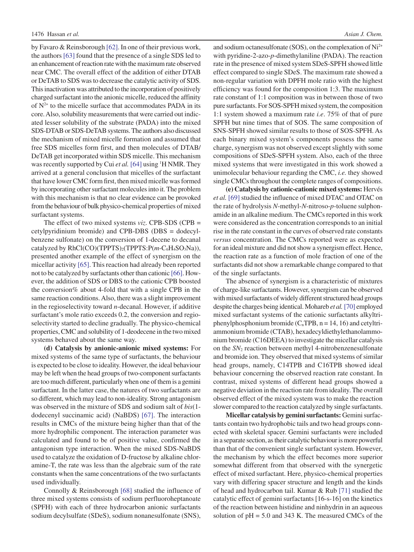by Favaro & Reinsborough [\[62\].](#page-8-0) In one of their previous work, the authors [\[63\]](#page-8-0) found that the presence of a single SDS led to an enhancement of reaction rate with the maximum rate observed near CMC. The overall effect of the addition of either DTAB or DeTAB to SDS was to decrease the catalytic activity of SDS. This inactivation was attributed to the incorporation of positively charged surfactant into the anionic micelle, reduced the affinity of  $N^{2+}$  to the micelle surface that accommodates PADA in its core. Also, solubility measurements that were carried out indicated lesser solubility of the substrate (PADA) into the mixed SDS-DTAB or SDS-DeTAB systems. The authors also discussed the mechanism of mixed micelle formation and assumed that free SDS micelles form first, and then molecules of DTAB/ DeTAB get incorporated within SDS micelle. This mechanism was recently supported by Cui et al. [\[64\]](#page-8-0) using <sup>1</sup>H NMR. They arrived at a general conclusion that micelles of the surfactant that have lower CMC form first, then mixed micelle was formed by incorporating other surfactant molecules into it. The problem with this mechanism is that no clear evidence can be provoked from the behaviour of bulk physico-chemical properties of mixed surfactant systems.

The effect of two mixed systems *viz*. CPB-SDS (CPB = cetylpyridinium bromide) and CPB-DBS (DBS = dodecylbenzene sulfonate) on the conversion of 1-decene to decanal catalyzed by RhCl(CO)(TPPTS)<sub>2</sub>(TPPTS:P(m-C<sub>6</sub>H<sub>4</sub>SO<sub>3</sub>Na)), presented another example of the effect of synergism on the micellar activity [\[65\].](#page-8-0) This reaction had already been reported not to be catalyzed by surfactants other than cationic [\[66\].](#page-8-0) However, the addition of SDS or DBS to the cationic CPB boosted the conversion% about 4-fold that with a single CPB in the same reaction conditions. Also, there was a slight improvement in the regioselectivity toward *n*-decanal. However, if additive surfactant's mole ratio exceeds 0.2, the conversion and regioselectivity started to decline gradually. The physico-chemical properties, CMC and solubility of 1-deodecene in the two mixed systems behaved about the same way.

**(d) Catalysis by anionic-anionic mixed systems:** For mixed systems of the same type of surfactants, the behaviour is expected to be close to ideality. However, the ideal behaviour may be left when the head groups of two-component surfactants are too much different, particularly when one of them is a gemini surfactant. In the latter case, the natures of two surfactants are so different, which may lead to non-ideality. Strong antagonism was observed in the mixture of SDS and sodium salt of *bis*(1 dodecenyl succinamic acid) (NaBDS) [\[67\].](#page-8-0) The interaction results in CMCs of the mixture being higher than that of the more hydrophilic component. The interaction parameter was calculated and found to be of positive value, confirmed the antagonism type interaction. When the mixed SDS-NaBDS used to catalyze the oxidation of D-fructose by alkaline chloramine-T, the rate was less than the algebraic sum of the rate constants when the same concentrations of the two surfactants used individually.

Connolly & Reinsborough [\[68\]](#page-8-0) studied the influence of three mixed systems consists of sodium perfluoroheptanoate (SPFH) with each of three hydrocarbon anionic surfactants sodium decylsulfate (SDeS), sodium nonanesulfonate (SNS), and sodium octanesulfonate (SOS), on the complexation of Ni<sup>2+</sup> with pyridine-2-azo-*p*-dimethylaniline (PADA). The reaction rate in the presence of mixed system SDeS-SPFH showed little effect compared to single SDeS. The maximum rate showed a non-regular variation with DPFH mole ratio with the highest efficiency was found for the composition 1:3. The maximum rate constant of 1:1 composition was in between those of two pure surfactants. For SOS-SPFH mixed system, the composition 1:1 system showed a maximum rate *i.e*. 75% of that of pure SPFH but nine times that of SOS. The same composition of SNS-SPFH showed similar results to those of SOS-SPFH. As each binary mixed system's components possess the same charge, synergism was not observed except slightly with some compositions of SDeS-SPFH system. Also, each of the three mixed systems that were investigated in this work showed a unimolecular behaviour regarding the CMC, *i.e.* they showed single CMCs throughout the complete ranges of compositions.

**(e) Catalysis by cationic-cationic mixed systems:** Hervés *et al.* [\[69\]](#page-8-0) studied the influence of mixed DTAC and OTAC on the rate of hydrolysis *N*-methyl-*N*-nitroso-*p*-toluene sulphonamide in an alkaline medium. The CMCs reported in this work were considered as the concentration corresponds to an initial rise in the rate constant in the curves of observed rate constants *versus* concentration. The CMCs reported were as expected for an ideal mixture and did not show a synergism effect. Hence, the reaction rate as a function of mole fraction of one of the surfactants did not show a remarkable change compared to that of the single surfactants.

The absence of synergism is a characteristic of mixtures of charge-like surfactants. However, synergism can be observed with mixed surfactants of widely different structured head groups despite the charges being identical. Mohareb *et al.*[\[70\]](#page-8-0) employed mixed surfactant systems of the cationic surfactants alkyltriphenylphosphonium bromide  $(C_nTPB, n = 14, 16)$  and cetyltriammonium bromide (CTAB), hexadecyldiethylethanolammonium bromide (C16DEEA) to investigate the micellar catalysis on the *SN*2 reaction between methyl 4-nitrobenzenesulfonate and bromide ion. They observed that mixed systems of similar head groups, namely, C14TPB and C16TPB showed ideal behaviour concerning the observed reaction rate constant. In contrast, mixed systems of different head groups showed a negative deviation in the reaction rate from ideality. The overall observed effect of the mixed system was to make the reaction slower compared to the reaction catalyzed by single surfactants.

**Micellar catalysis by gemini surfactants:** Gemini surfactants contain two hydrophobic tails and two head groups connected with skeletal spacer. Gemini surfactants were included in a separate section, as their catalytic behaviour is more powerful than that of the convenient single surfactant system. However, the mechanism by which the effect becomes more superior somewhat different from that observed with the synergetic effect of mixed surfactant. Here, physico-chemical properties vary with differing spacer structure and length and the kinds of head and hydrocarbon tail. Kumar & Rub [\[71\]](#page-8-0) studied the catalytic effect of gemini surfactants [16-s-16] on the kinetics of the reaction between histidine and ninhydrin in an aqueous solution of  $pH = 5.0$  and 343 K. The measured CMCs of the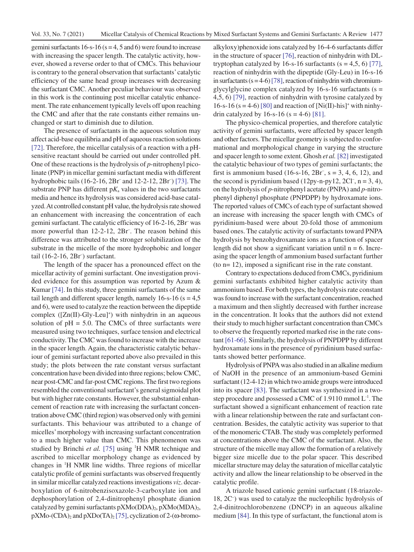gemini surfactants  $16 - s - 16$  ( $s = 4, 5$  and 6) were found to increase with increasing the spacer length. The catalytic activity, however, showed a reverse order to that of CMCs. This behaviour is contrary to the general observation that surfactants' catalytic efficiency of the same head group increases with decreasing the surfactant CMC. Another peculiar behaviour was observed in this work is the continuing post micellar catalytic enhancement. The rate enhancement typically levels off upon reaching the CMC and after that the rate constants either remains unchanged or start to diminish due to dilution.

The presence of surfactants in the aqueous solution may affect acid-base equilibria and pH of aqueous reaction solutions [\[72\].](#page-8-0) Therefore, the micellar catalysis of a reaction with a pHsensitive reactant should be carried out under controlled pH. One of these reactions is the hydrolysis of *p*-nitrophenyl picolinate (PNP) in micellar gemini surfactant media with different hydrophobic tails (16-2-16, 2Br– and 12-2-12, 2Br– ) [\[73\]](#page-8-0). The substrate PNP has different  $pK_a$  values in the two surfactants media and hence its hydrolysis was considered acid-base catalyzed. At controlled constant pH value, the hydrolysis rate showed an enhancement with increasing the concentration of each gemini surfactant. The catalytic efficiency of 16-2-16, 2Br– was more powerful than 12-2-12, 2Br– . The reason behind this difference was attributed to the stronger solubilization of the substrate in the micelle of the more hydrophobic and longer tail (16-2-16, 2Br– ) surfactant.

The length of the spacer has a pronounced effect on the micellar activity of gemini surfactant. One investigation provided evidence for this assumption was reported by Azum & Kumar [\[74\]](#page-8-0). In this study, three gemini surfactants of the same tail length and different spacer length, namely  $16$ -s- $16$  (s =  $4,5$ ) and 6), were used to catalyze the reaction between the dipeptide complex ([Zn(II)-Gly-Leu]<sup>+</sup>) with ninhydrin in an aqueous solution of  $pH = 5.0$ . The CMCs of three surfactants were measured using two techniques, surface tension and electrical conductivity. The CMC was found to increase with the increase in the spacer length. Again, the characteristic catalytic behaviour of gemini surfactant reported above also prevailed in this study; the plots between the rate constant versus surfactant concentration have been divided into three regions; below CMC, near post-CMC and far-post CMC regions. The first two regions resembled the conventional surfactant's general sigmoidal plot but with higher rate constants. However, the substantial enhancement of reaction rate with increasing the surfactant concentration above CMC (third region) was observed only with gemini surfactants. This behaviour was attributed to a change of micelles' morphology with increasing surfactant concentration to a much higher value than CMC. This phenomenon was studied by Brinchi et al. [\[75\]](#page-8-0) using <sup>1</sup>H NMR technique and ascribed to micellar morphology change as evidenced by changes in 1 H NMR line widths. Three regions of micellar catalytic profile of gemini surfactants was observed frequently in similar micellar catalyzed reactions investigations *viz*. decarboxylation of 6-nitrobenzisoxazole-3-carboxylate ion and dephosphorylation of 2,4-dinitrophenyl phosphate dianion catalyzed by gemini surfactants  $pXMo(DDA)_2$ ,  $pXMo(MDA)_2$ ,  $pXMo$ -(CDA)<sub>2</sub> and  $pXDo(TA)_{2}$  [\[75\]](#page-8-0), cyclization of 2-( $\omega$ -bromo-

alkyloxy)phenoxide ions catalyzed by 16-4-6 surfactants differ in the structure of spacer [\[76\],](#page-8-0) reaction of ninhydrin with DLtryptophan catalyzed by 16-s-16 surfactants  $(s = 4.5, 6)$  [\[77\],](#page-8-0) reaction of ninhydrin with the dipeptide (Gly-Leu) in 16-s-16 in surfactants  $(s = 4-6)$  [\[78\],](#page-8-0) reaction of ninhydrin with chromiumglycylglycine complex catalyzed by  $16$ -s-16 surfactants (s = 4,5, 6) [\[79\]](#page-8-0), reaction of ninhydrin with tyrosine catalyzed by 16-s-16 ( $s = 4$ -6) [\[80\]](#page-8-0) and reaction of [Ni(II)-his]<sup>+</sup> with ninhy-drin catalyzed by 16-s-16 (s = 4-6) [\[81\].](#page-8-0)

The physico-chemical properties, and therefore catalytic activity of gemini surfactants, were affected by spacer length and other factors. The micellar geometry is subjected to conformational and morphological change in varying the structure and spacer length to some extent. Ghosh *et al.* [\[82\]](#page-8-0) investigated the catalytic behaviour of two types of gemini surfactants; the first is ammonium based (16-s-16,  $2Br^-$ , s = 3, 4, 6, 12), and the second is pyridinium based  $(12py-n-py12, 2Cl<sup>-</sup>, n = 3, 4)$ , on the hydrolysis of *p*-nitrophenyl acetate (PNPA) and *p*-nitrophenyl diphenyl phosphate (PNPDPP) by hydroxamate ions. The reported values of CMCs of each type of surfactant showed an increase with increasing the spacer length with CMCs of pyridinium-based were about 20-fold those of ammonium based ones. The catalytic activity of surfactants toward PNPA hydrolysis by benzohydroxamate ions as a function of spacer length did not show a significant variation until  $n = 6$ . Increasing the spacer length of ammonium based surfactant further (to n= 12), imposed a significant rise in the rate constant.

Contrary to expectations deduced from CMCs, pyridinium gemini surfactants exhibited higher catalytic activity than ammonium based. For both types, the hydrolysis rate constant was found to increase with the surfactant concentration, reached a maximum and then slightly decreased with further increase in the concentration. It looks that the authors did not extend their study to much higher surfactant concentration than CMCs to observe the frequently reported marked rise in the rate constant [\[61-66\].](#page-8-0) Similarly, the hydrolysis of PNPDPP by different hydroxamate ions in the presence of pyridinium based surfactants showed better performance.

Hydrolysis of PNPA was also studied in an alkaline medium of NaOH in the presence of an ammonium-based Gemini surfactant (12-4-12) in which two amide groups were introduced into its spacer [\[83\]](#page-8-0). The surfactant was synthesized in a twostep procedure and possessed a CMC of 1.9110 mmol L-1. The surfactant showed a significant enhancement of reaction rate with a linear relationship between the rate and surfactant concentration. Besides, the catalytic activity was superior to that of the monomeric CTAB. The study was completely performed at concentrations above the CMC of the surfactant. Also, the structure of the micelle may allow the formation of a relatively bigger size micelle due to the polar spacer. This described micellar structure may delay the saturation of micellar catalytic activity and allow the linear relationship to be observed in the catalytic profile.

A triazole based cationic gemini surfactant (18-triazole-18, 2C– ) was used to catalyze the nucleophilic hydrolysis of 2,4-dinitrochlorobenzene (DNCP) in an aqueous alkaline medium [\[84\].](#page-8-0) In this type of surfactant, the functional atom is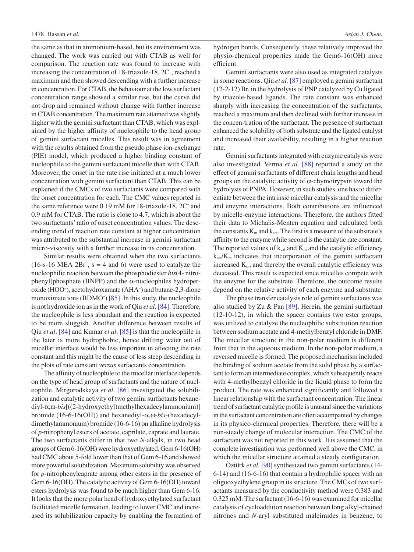the same as that in ammonium-based, but its environment was changed. The work was carried out with CTAB as well for comparison. The reaction rate was found to increase with increasing the concentration of 18-triazole-18, 2C– , reached a maximum and then showed descending with a further increase in concentration. For CTAB, the behaviour at the low surfactant concentration range showed a similar rise, but the curve did not drop and remained without change with further increase in CTAB concentration. The maximum rate attained was slightly higher with the gemini surfactant than CTAB, which was explained by the higher affinity of nucleophile to the head group of gemini surfactant micelles. This result was in agreement with the results obtained from the pseudo phase ion-exchange (PIE) model, which produced a higher binding constant of nucleophile to the gemini surfactant micelle than with CTAB. Moreover, the onset in the rate rise initiated at a much lower concentration with gemini surfactant than CTAB. This can be explained if the CMCs of two surfactants were compared with the onset concentration for each. The CMC values reported in the same reference were 0.19 mM for 18-triazole-18, 2C– and 0.9 mM for CTAB. The ratio is close to 4.7, which is about the two surfactants' ratio of onset concentration values. The descending trend of reaction rate constant at higher concentration was attributed to the substantial increase in gemini surfactant micro-viscosity with a further increase in its concentration.

Similar results were obtained when the two surfactants  $(16-s-16 \text{ MEA } 2Br^-, s = 4 \text{ and } 6)$  were used to catalyze the nucleophilic reaction between the phosphodiester *bis*(4- nitrophenyl)phosphate (BNPP) and the α-nucleophiles hydroperoxide (HOO– ), acetohydroxamate (AHA– ) and butane-2,3-dione monoximate ions (BDMO<sup>-</sup>) [\[85\]](#page-8-0). In this study, the nucleophile is not hydroxide ion as in the work of Qiu *et al*. [\[84\].](#page-8-0) Therefore, the nucleophile is less abundant and the reaction is expected to be more sluggish. Another difference between results of Qiu *et al*. [\[84\]](#page-8-0) and Kumar *et al*. [\[85\]](#page-8-0) is that the nucleophile in the later is more hydrophobic, hence drifting water out of micellar interface would be less important in affecting the rate constant and this might be the cause of less steep descending in the plots of rate constant *versus* surfactants concentration.

The affinity of nucleophile to the micellar interface depends on the type of head group of surfactants and the nature of nucleophile. Mirgorodskaya *et al.* [\[86\]](#page-8-0) investigated the solubilization and catalytic activity of two gemini surfactants hexanediyl-α,ω-*bis*[((2-hydroxyethyl)methylhexadecylammonium)] bromide (16-6-16(OH)) and hexanediyl-α,ω-*bis-*(hexadecyldimethylammonium) bromide (16-6-16) on alkaline hydrolysis of *p*-nitrophenyl esters of acetate, caprilate, caprate and laurate. The two surfactants differ in that two *N*-alkyls, in two head groups of Gem 6-16(OH) were hydroxyethylated. Gem 6-16(OH) had CMC about 5-fold lower than that of Gem 6-16 and showed more powerful solubilization. Maximum solubility was observed for *p*-nitrophenylcaprate among other esters in the presence of Gem 6-16(OH). The catalytic activity of Gem 6-16(OH) toward esters hydrolysis was found to be much higher than Gem 6-16. It looks that the more polar head of hydroxyethylated surfactant facilitated micelle formation, leading to lower CMC and increased its solubilization capacity by enabling the formation of

hydrogen bonds. Consequently, these relatively improved the physio-chemical properties made the Gem6-16(OH) more efficient.

Gemini surfactants were also used as integrated catalysts in some reactions. Qiu *et al.* [\[87\]](#page-8-0) employed a gemini surfactant (12-2-12) Br, in the hydrolysis of PNP catalyzed by Cu ligated by triazole-based ligands. The rate constant was enhanced sharply with increasing the concentration of the surfactants, reached a maximum and then declined with further increase in the concen-tration of the surfactant. The presence of surfactant enhanced the solubility of both substrate and the ligated catalyst and increased their availability, resulting in a higher reaction rate.

Gemini surfactants integrated with enzyme catalysis were also investigated. Verma *et al.* [\[88\]](#page-8-0) reported a study on the effect of gemini surfactants of different chain lengths and head groups on the catalytic activity of  $\alpha$ -chymotrypsin toward the hydrolysis of PNPA. However, in such studies, one has to differentiate between the intrinsic micellar catalysis and the micellar and enzyme interactions. Both contributions are influenced by micelle-enzyme interactions. Therefore, the authors fitted their data to Michalis-Menten equation and calculated both the constants  $K_m$  and  $k_{cat}$ . The first is a measure of the substrate's affinity to the enzyme while second is the catalytic rate constant. The reported values of  $k_{cat}$  and  $K_m$  and the catalytic efficiency  $k_{\text{ca}}/K_{\text{m}}$  indicates that incorporation of the gemini surfactant increased  $K<sub>m</sub>$ , and thereby the overall catalytic efficiency was deceased. This result is expected since micelles compete with the enzyme for the substrate. Therefore, the outcome results depend on the relative activity of each enzyme and substrate.

The phase transfer catalysis role of gemini surfactants was also studied by Zu & Pan [\[89\].](#page-8-0) Herein, the gemini surfactant (12-10-12), in which the spacer contains two ester groups, was utilized to catalyze the nucleophilic substitution reaction between sodium acetate and 4-methylbenzyl chloride in DMF. The micellar structure in the non-polar medium is different from that in the aqueous medium. In the non-polar medium, a reversed micelle is formed. The proposed mechanism included the binding of sodium acetate from the solid phase by a surfactant to form an intermediate complex, which subsequently reacts with 4-methylbenzyl chloride in the liquid phase to form the product. The rate was enhanced significantly and followed a linear relationship with the surfactant concentration. The linear trend of surfactant catalytic profile is unusual since the variations in the surfactant concentration are often accompanied by changes in its physico-chemical properties. Therefore, there will be a non-steady change of molecular interaction. The CMC of the surfactant was not reported in this work. It is assumed that the complete investigation was performed well above the CMC, in which the micellar structure attained a steady configuration.

Öztürk *et al.* [\[90\]](#page-8-0) synthesized two gemini surfactants (14- 6-14) and (16-6-16) that contain a hydrophilic spacer with an oligooxyethylene group in its structure. The CMCs of two surfactants measured by the conductivity method were 0.383 and 0.325 mM. The surfactant (16-6-16) was examined for micellar catalysis of cycloaddition reaction between long alkyl-chained nitrones and *N*-aryl substituted maleimides in benzene, to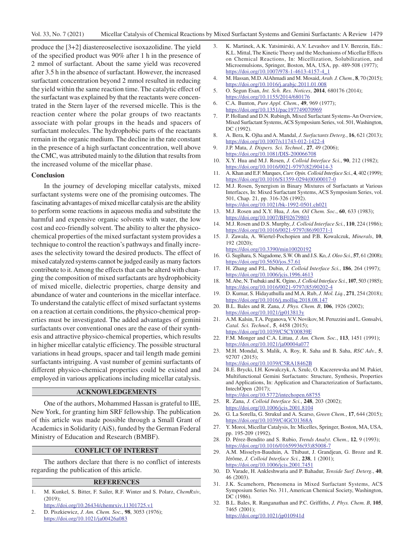<span id="page-8-0"></span>produce the [3+2] diastereoselective isoxazolidine. The yield of the specified product was 90% after 1 h in the presence of 2 mmol of surfactant. About the same yield was recovered after 3.5 h in the absence of surfactant. However, the increased surfactant concentration beyond 2 mmol resulted in reducing the yield within the same reaction time. The catalytic effect of the surfactant was explained by that the reactants were concentrated in the Stern layer of the reversed micelle. This is the reaction center where the polar groups of two reactants associate with polar groups in the heads and spacers of surfactant molecules. The hydrophobic parts of the reactants remain in the organic medium. The decline in the rate constant in the presence of a high surfactant concentration, well above the CMC, was attributed mainly to the dilution that results from the increased volume of the micellar phase.

### **Conclusion**

In the journey of developing micellar catalysts, mixed surfactant systems were one of the promising outcomes. The fascinating advantages of mixed micellar catalysis are the ability to perform some reactions in aqueous media and substitute the harmful and expensive organic solvents with water, the low cost and eco-friendly solvent. The ability to alter the physicochemical properties of the mixed surfactant system provides a technique to control the reaction's pathways and finally increases the selectivity toward the desired products. The effect of mixed catalyzed systems cannot be judged easily as many factors contribute to it. Among the effects that can be alterd with changing the composition of mixed surfactants are hydrophobicity of mixed micelle, dielectric properties, charge density and abundance of water and counterions in the micellar interface. To understand the catalytic effect of mixed surfactant systems on a reaction at certain conditions, the physico-chemical properties must be investigated. The added advantages of gemini surfactants over conventional ones are the ease of their synthesis and attractive physico-chemical properties, which results in higher micellar catalytic efficiency. The possible structural variations in head groups, spacer and tail length made gemini surfactants intriguing. A vast number of gemini surfactants of different physico-chemical properties could be existed and employed in various applications including micellar catalysis.

## **ACKNOWLEDGEMENTS**

One of the authors, Mohammed Hassan is grateful to IIE, New York, for granting him SRF fellowship. The publication of this article was made possible through a Small Grant of Academics in Solidarity (AiS), funded by the German Federal Ministry of Education and Research (BMBF).

## **CONFLICT OF INTEREST**

The authors declare that there is no conflict of interests regarding the publication of this article.

#### **REFERENCES**

- 1. M. Kunkel, S. Bitter, F. Sailer, R.F. Winter and S. Polarz, *ChemRxiv*, (2019);
- https://doi.org/10.26434/chemrxiv.11301725.v1 2. D. Piszkiewicz, *J. Am. Chem. Soc.*, **98**, 3053 (1976); https://doi.org/10.1021/ja00426a083
- 3. K. Martinek, A.K. Yatsimirski, A.V. Levashov and I.V. Berezin, Eds.: K.L. Mittal, The Kinetic Theory and the Mechanisms of Micellar Effects on Chemical Reactions, In: Micellization, Solubilization, and Microemulsions, Springer, Boston, MA, USA, pp. 489-508 (1977); https://doi.org/10.1007/978-1-4613-4157-4\_1
- 4. M. Hassan, M.D. AlAhmadi and M. Mosaid, *Arab. J. Chem.*, **8**, 70 (2015); https://doi.org/10.1016/j.arabjc.2011.01.008
- 5. O. Segun Esan, *Int. Sch. Res. Notices*, **2014**, 680176 (2014); https://doi.org/10.1155/2014/680176
- 6. C.A. Bunton, *Pure Appl. Chem.*, **49**, 969 (1977); https://doi.org/10.1351/pac197749070969
- 7. P. Holland and D.N. Rubingh, Mixed Surfactant Systems-An Overview, Mixed Surfactant Systems, ACS Symposium Series, vol. 501, Washington, DC (1992).
- 8. A. Bera, K. Ojha and A. Mandal, *J. Surfactants Deterg.*, **16**, 621 (2013); https://doi.org/10.1007/s11743-012-1422-4
- 9. J.P. Mata, *J. Dispers. Sci. Technol.*, **27**, 49 (2006); https://doi.org/10.1081/DIS-200066708
- 10. X.Y. Hua and M.J. Rosen, *J. Colloid Interface Sci.*, **90**, 212 (1982); [https://doi.org/10.1016/0021-9797\(82\)90414-3](https://doi.org/10.1016/0021-9797(82)90414-3)
- 11. A. Khan and E.F. Marques, *Curr. Opin. Colloid Interface Sci.*, **4**, 402 (1999); [https://doi.org/10.1016/S1359-0294\(00\)00017-0](https://doi.org/10.1016/S1359-0294(00)00017-0)
- 12. M.J. Rosen, Synergism in Binary Mixtures of Surfactants at Various Interfaces, In: Mixed Surfactant Systems, ACS Symposium Series, vol. 501, Chap. 21, pp. 316-326 (1992). https://doi.org/10.1021/bk-1992-0501.ch021
- 13. M.J. Rosen and X.Y. Hua, *J. Am. Oil Chem. Soc.*, **60**, 633 (1983); https://doi.org/10.1007/BF02679803
- 14. M.J. Rosen and D.S. Murphy, *J. Colloid Interface Sci.*, **110**, 224 (1986); [https://doi.org/10.1016/0021-9797\(86\)90371-1](https://doi.org/10.1016/0021-9797(86)90371-1)
- 15. J. Zawala, A. Wiertel-Pochopien and P.B. Kowalczuk, *Minerals*, **10**, 192 (2020); https://doi.org/10.3390/min10020192
- 16. G. Sugihara, S. Nagadome, S.W. Oh and J.S. Ko, *J. Oleo Sci.*, **57**, 61 (2008); https://doi.org/10.5650/jos.57.61
- 17. H. Zhang and P.L. Dubin, *J. Colloid Interface Sci.*, **186**, 264 (1997); https://doi.org/10.1006/jcis.1996.4613
- 18. M. Abe, N. Tsubaki and K. Ogino, *J. Colloid Interface Sci.*, **107**, 503 (1985); [https://doi.org/10.1016/0021-9797\(85\)90202-4](https://doi.org/10.1016/0021-9797(85)90202-4)
- 19. D. Kumar, S. Hidayathulla and M.A. Rub, *J. Mol. Liq.*, **271**, 254 (2018); https://doi.org/10.1016/j.molliq.2018.08.147
- 20. B.L. Bales and R. Zana, *J. Phys. Chem. B*, **106**, 1926 (2002); https://doi.org/10.1021/jp013813y
- 21. A.M. Kalsin, T.A. Peganova, V.V. Novikov, M. Peruzzini and L. Gonsalvi, *Catal. Sci. Technol.*, **5**, 4458 (2015); https://doi.org/10.1039/C5CY00839E
- 22. F.M. Monger and C.A. Littau, *J. Am. Chem. Soc.*, **113**, 1451 (1991); https://doi.org/10.1021/ja00004a077
- 23. M.H. Mondal, S. Malik, A. Roy, R. Saha and B. Saha, *RSC Adv.*, **5**, 92707 (2015); https://doi.org/10.1039/C5RA18462B
- 24. B.E. Brycki, I.H. Kowalczyk, A. Szulc, O. Kaczerewska and M. Pakiet, Multifunctional Gemini Surfactants: Structure, Synthesis, Properties and Applications, In: Application and Characterization of Surfactants, IntechOpen (2017);

https://doi.org/10.5772/intechopen.68755

- 25. R. Zana, *J. Colloid Interface Sci.*, **248**, 203 (2002); https://doi.org/10.1006/jcis.2001.8104
- 26. G. La Sorella, G. Strukul and A. Scarso, *Green Chem.*, **17**, 644 (2015); https://doi.org/10.1039/C4GC01368A
- 27. Y. Moroi, Micellar Catalysis, In: Micelles, Springer, Boston, MA, USA, pp. 195-209 (1992).
- 28. D. Pérez-Bendito and S. Rubio, *Trends Analyt. Chem.*, **12**, 9 (1993); [https://doi.org/10.1016/01659936\(93\)85008-7](https://doi.org/10.1016/01659936(93)85008-7)
- 29. A.M. Misselyn-Bauduin, A. Thibaut, J. Grandjean, G. Broze and R. Jérôme, *J. Colloid Interface Sci.*, **238**, 1 (2001); https://doi.org/10.1006/jcis.2001.7451
- 30. D. Varade, H. Ankleshwaria and P. Bahadur, *Tenside Surf. Deterg.*, **40**, 46 (2003).
- 31. J.K. Scamehorn, Phenomena in Mixed Surfactant Systems, ACS Symposium Series No. 311, American Chemical Society, Washington, DC (1986).
- 32. B.L. Bales, R. Ranganathan and P.C. Griffiths, *J. Phys. Chem. B*, **105**, 7465 (2001); https://doi.org/10.1021/jp010941d